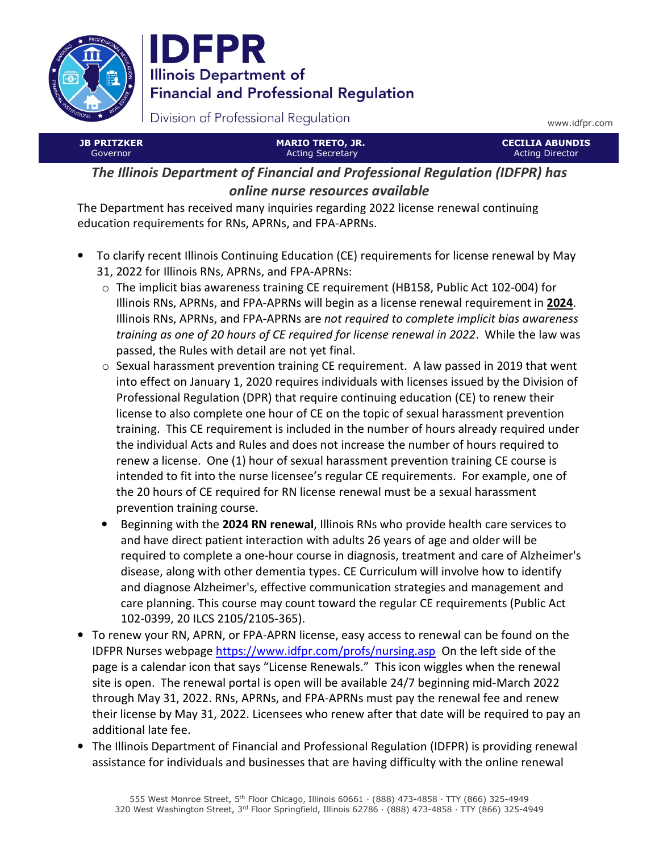

**IDFPR Illinois Department of Financial and Professional Regulation** 

Division of Professional Regulation

www.idfpr.com

| <b>JB PRITZKER</b>                                                           | <b>MARIO TRETO, JR.</b> | <b>CECILIA ABUNDIS</b> |
|------------------------------------------------------------------------------|-------------------------|------------------------|
| Governor                                                                     | <b>Acting Secretary</b> | <b>Acting Director</b> |
| The Illinois Department of Financial and Professional Regulation (IDFPR) has |                         |                        |

online nurse resources available

The Department has received many inquiries regarding 2022 license renewal continuing education requirements for RNs, APRNs, and FPA-APRNs.

- To clarify recent Illinois Continuing Education (CE) requirements for license renewal by May 31, 2022 for Illinois RNs, APRNs, and FPA-APRNs:
	- $\circ$  The implicit bias awareness training CE requirement (HB158, Public Act 102-004) for Illinois RNs, APRNs, and FPA-APRNs will begin as a license renewal requirement in 2024. Illinois RNs, APRNs, and FPA-APRNs are not required to complete implicit bias awareness training as one of 20 hours of CE required for license renewal in 2022. While the law was passed, the Rules with detail are not yet final.
	- $\circ$  Sexual harassment prevention training CE requirement. A law passed in 2019 that went into effect on January 1, 2020 requires individuals with licenses issued by the Division of Professional Regulation (DPR) that require continuing education (CE) to renew their license to also complete one hour of CE on the topic of sexual harassment prevention training. This CE requirement is included in the number of hours already required under the individual Acts and Rules and does not increase the number of hours required to renew a license. One (1) hour of sexual harassment prevention training CE course is intended to fit into the nurse licensee's regular CE requirements. For example, one of the 20 hours of CE required for RN license renewal must be a sexual harassment prevention training course.
	- Beginning with the 2024 RN renewal, Illinois RNs who provide health care services to and have direct patient interaction with adults 26 years of age and older will be required to complete a one-hour course in diagnosis, treatment and care of Alzheimer's disease, along with other dementia types. CE Curriculum will involve how to identify and diagnose Alzheimer's, effective communication strategies and management and care planning. This course may count toward the regular CE requirements (Public Act 102-0399, 20 ILCS 2105/2105-365).
- To renew your RN, APRN, or FPA-APRN license, easy access to renewal can be found on the IDFPR Nurses webpage https://www.idfpr.com/profs/nursing.asp On the left side of the page is a calendar icon that says "License Renewals." This icon wiggles when the renewal site is open. The renewal portal is open will be available 24/7 beginning mid-March 2022 through May 31, 2022. RNs, APRNs, and FPA-APRNs must pay the renewal fee and renew their license by May 31, 2022. Licensees who renew after that date will be required to pay an additional late fee.
- The Illinois Department of Financial and Professional Regulation (IDFPR) is providing renewal assistance for individuals and businesses that are having difficulty with the online renewal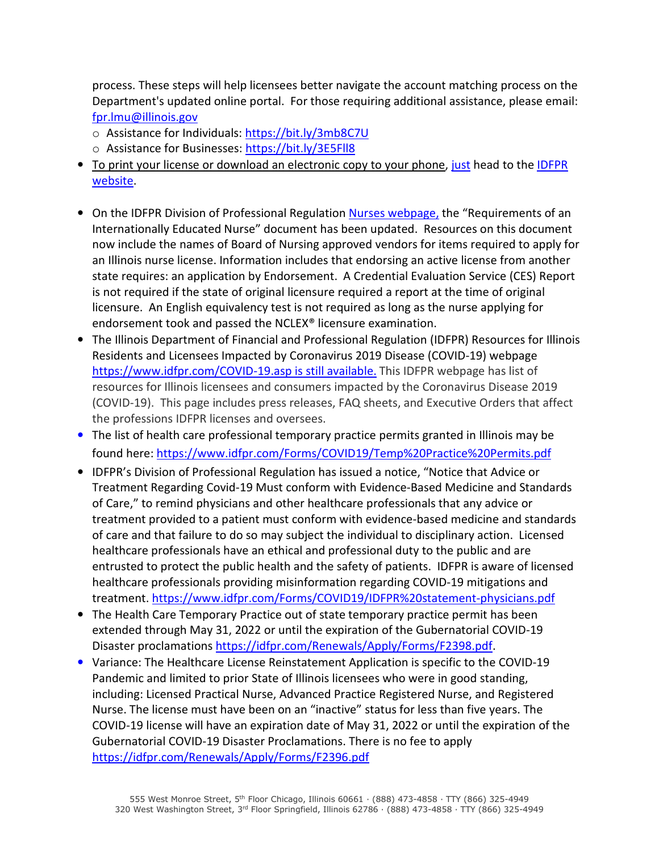process. These steps will help licensees better navigate the account matching process on the Department's updated online portal. For those requiring additional assistance, please email: fpr.lmu@illinois.gov

- o Assistance for Individuals: https://bit.ly/3mb8C7U
- o Assistance for Businesses: https://bit.ly/3E5Fll8
- To print your license or download an electronic copy to your phone, just head to the IDFPR website.
- On the IDFPR Division of Professional Regulation Nurses webpage, the "Requirements of an Internationally Educated Nurse" document has been updated. Resources on this document now include the names of Board of Nursing approved vendors for items required to apply for an Illinois nurse license. Information includes that endorsing an active license from another state requires: an application by Endorsement. A Credential Evaluation Service (CES) Report is not required if the state of original licensure required a report at the time of original licensure. An English equivalency test is not required as long as the nurse applying for endorsement took and passed the NCLEX® licensure examination.
- The Illinois Department of Financial and Professional Regulation (IDFPR) Resources for Illinois Residents and Licensees Impacted by Coronavirus 2019 Disease (COVID-19) webpage https://www.idfpr.com/COVID-19.asp is still available. This IDFPR webpage has list of resources for Illinois licensees and consumers impacted by the Coronavirus Disease 2019 (COVID-19). This page includes press releases, FAQ sheets, and Executive Orders that affect the professions IDFPR licenses and oversees.
- The list of health care professional temporary practice permits granted in Illinois may be found here: https://www.idfpr.com/Forms/COVID19/Temp%20Practice%20Permits.pdf
- IDFPR's Division of Professional Regulation has issued a notice, "Notice that Advice or Treatment Regarding Covid-19 Must conform with Evidence-Based Medicine and Standards of Care," to remind physicians and other healthcare professionals that any advice or treatment provided to a patient must conform with evidence-based medicine and standards of care and that failure to do so may subject the individual to disciplinary action. Licensed healthcare professionals have an ethical and professional duty to the public and are entrusted to protect the public health and the safety of patients. IDFPR is aware of licensed healthcare professionals providing misinformation regarding COVID-19 mitigations and treatment. https://www.idfpr.com/Forms/COVID19/IDFPR%20statement-physicians.pdf
- The Health Care Temporary Practice out of state temporary practice permit has been extended through May 31, 2022 or until the expiration of the Gubernatorial COVID-19 Disaster proclamations https://idfpr.com/Renewals/Apply/Forms/F2398.pdf.
- Variance: The Healthcare License Reinstatement Application is specific to the COVID-19 Pandemic and limited to prior State of Illinois licensees who were in good standing, including: Licensed Practical Nurse, Advanced Practice Registered Nurse, and Registered Nurse. The license must have been on an "inactive" status for less than five years. The COVID-19 license will have an expiration date of May 31, 2022 or until the expiration of the Gubernatorial COVID-19 Disaster Proclamations. There is no fee to apply https://idfpr.com/Renewals/Apply/Forms/F2396.pdf